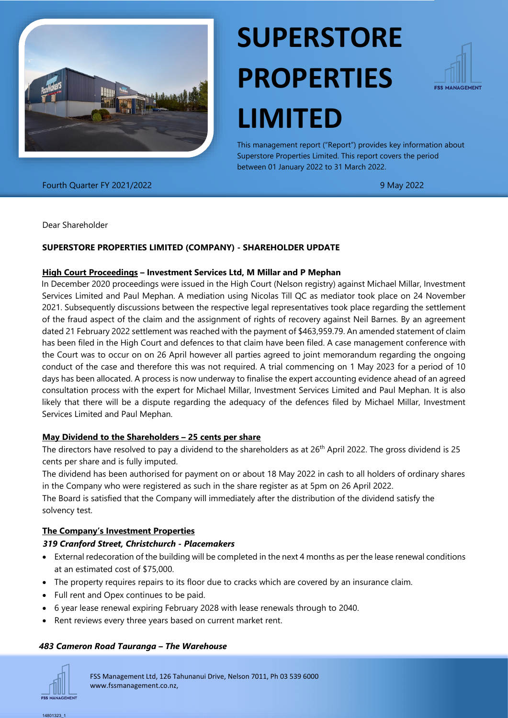

# **SUPERSTORE PROPERTIES LIMITED**



This management report ("Report") provides key information about Superstore Properties Limited. This report covers the period between 01 January 2022 to 31 March 2022.

Fourth Quarter FY 2021/2022 9 May 2022

Dear Shareholder

## **SUPERSTORE PROPERTIES LIMITED (COMPANY) - SHAREHOLDER UPDATE**

#### **High Court Proceedings – Investment Services Ltd, M Millar and P Mephan**

In December 2020 proceedings were issued in the High Court (Nelson registry) against Michael Millar, Investment Services Limited and Paul Mephan. A mediation using Nicolas Till QC as mediator took place on 24 November 2021. Subsequently discussions between the respective legal representatives took place regarding the settlement of the fraud aspect of the claim and the assignment of rights of recovery against Neil Barnes. By an agreement dated 21 February 2022 settlement was reached with the payment of \$463,959.79. An amended statement of claim has been filed in the High Court and defences to that claim have been filed. A case management conference with the Court was to occur on on 26 April however all parties agreed to joint memorandum regarding the ongoing conduct of the case and therefore this was not required. A trial commencing on 1 May 2023 for a period of 10 days has been allocated. A process is now underway to finalise the expert accounting evidence ahead of an agreed consultation process with the expert for Michael Millar, Investment Services Limited and Paul Mephan. It is also likely that there will be a dispute regarding the adequacy of the defences filed by Michael Millar, Investment Services Limited and Paul Mephan.

#### **May Dividend to the Shareholders – 25 cents per share**

The directors have resolved to pay a dividend to the shareholders as at 26<sup>th</sup> April 2022. The gross dividend is 25 cents per share and is fully imputed.

The dividend has been authorised for payment on or about 18 May 2022 in cash to all holders of ordinary shares in the Company who were registered as such in the share register as at 5pm on 26 April 2022.

The Board is satisfied that the Company will immediately after the distribution of the dividend satisfy the solvency test.

#### **The Company's Investment Properties**

#### *319 Cranford Street, Christchurch - Placemakers*

- External redecoration of the building will be completed in the next 4 months as per the lease renewal conditions at an estimated cost of \$75,000.
- The property requires repairs to its floor due to cracks which are covered by an insurance claim.
- Full rent and Opex continues to be paid.
- 6 year lease renewal expiring February 2028 with lease renewals through to 2040.
- Rent reviews every three years based on current market rent.

#### *483 Cameron Road Tauranga – The Warehouse*



FSS Management Ltd, 126 Tahunanui Drive, Nelson 7011, Ph 03 539 6000 www.fssmanagement.co.nz,

14801323\_1